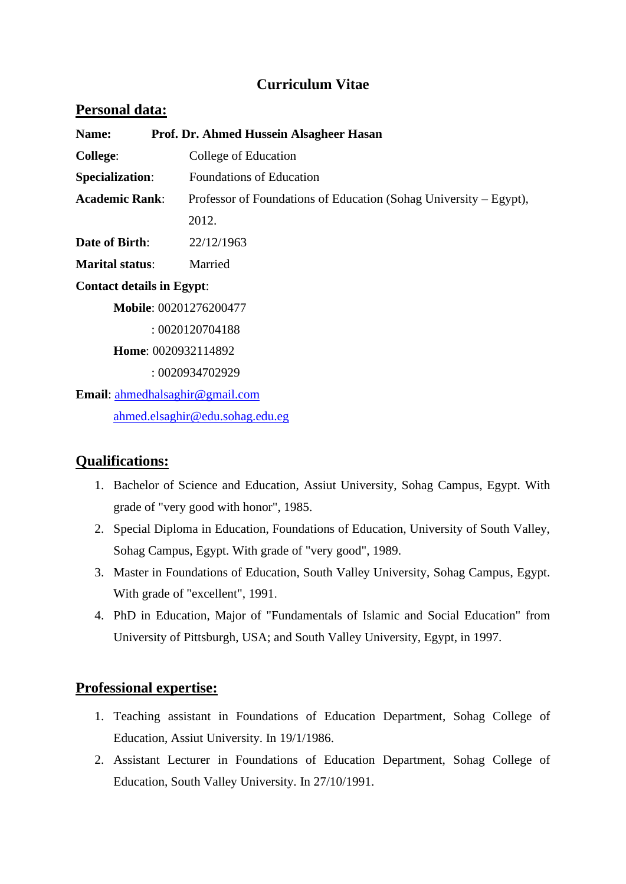# **Curriculum Vitae**

#### Personal data:

| Prof. Dr. Ahmed Hussein Alsagheer Hasan<br>Name: |                                                                   |
|--------------------------------------------------|-------------------------------------------------------------------|
| <b>College:</b>                                  | College of Education                                              |
| <b>Specialization:</b>                           | <b>Foundations of Education</b>                                   |
| <b>Academic Rank:</b>                            | Professor of Foundations of Education (Sohag University – Egypt), |
|                                                  | 2012.                                                             |
| <b>Date of Birth:</b>                            | 22/12/1963                                                        |
| <b>Marital status:</b>                           | Married                                                           |
| <b>Contact details in Egypt:</b>                 |                                                                   |
| Mobile: 00201276200477                           |                                                                   |
| : 0020120704188                                  |                                                                   |
| Home: 0020932114892                              |                                                                   |
|                                                  | : 0020934702929                                                   |
| <b>Email:</b> ahmedhalsaghir@gmail.com           |                                                                   |
| ahmed.elsaghir@edu.sohag.edu.eg                  |                                                                   |

#### **Qualifications :**

- 1. Bachelor of Science and Education, Assiut University, Sohag Campus, Egypt. With grade of "very good with honor", 1985.
- 2. Special Diploma in Education, Foundations of Education, University of South Valley, Sohag Campus, Egypt. With grade of "very good", 1989.
- 3. Master in Foundations of Education, South Valley University, Sohag Campus, Egypt. With grade of "excellent", 1991.
- 4. PhD in Education, Major of "Fundamentals of Islamic and Social Education" from University of Pittsburgh, USA; and South Valley University, Egypt, in 1997.

## **Professional expertise:**

- 1. Teaching assistant in Foundations of Education Department, Sohag College of Education, Assiut University. In 19/1/1986.
- 2. Assistant Lecturer in Foundations of Education Department, Sohag College of Education, South Valley University. In 27/10/1991.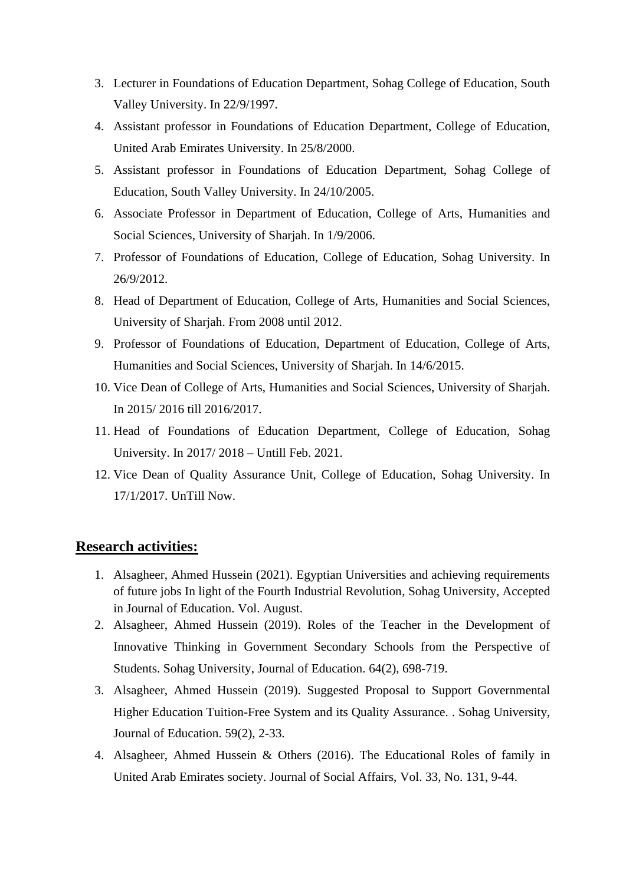- 3. Lecturer in Foundations of Education Department, Sohag College of Education, South Valley University. In 22/9/1997.
- 4. Assistant professor in Foundations of Education Department, College of Education, United Arab Emirates University. In 25/8/2000.
- 5. Assistant professor in Foundations of Education Department, Sohag College of Education, South Valley University. In 24/10/2005.
- 6. Associate Professor in Department of Education, College of Arts, Humanities and Social Sciences, University of Sharjah. In 1/9/2006.
- 7. Professor of Foundations of Education, College of Education, Sohag University. In 26/9/2012.
- 8. Head of Department of Education, College of Arts, Humanities and Social Sciences, University of Sharjah. From 2008 until 2012.
- 9. Professor of Foundations of Education, Department of Education, College of Arts, Humanities and Social Sciences, University of Sharjah. In 14/6/2015.
- 10. Vice Dean of College of Arts, Humanities and Social Sciences, University of Sharjah. In 2015/ 2016 till 2016/2017.
- 11. Head of Foundations of Education Department, College of Education, Sohag University. In 2017/ 2018 – Untill Feb. 2021.
- 12. Vice Dean of Quality Assurance Unit, College of Education, Sohag University. In 17/1/2017. UnTill Now.

#### **Research activities :**

- 1. Alsagheer, Ahmed Hussein (2021). Egyptian Universities and achieving requirements of future jobs In light of the Fourth Industrial Revolution, Sohag University, Accepted in Journal of Education. Vol. August.
- 2. Alsagheer, Ahmed Hussein (2019). Roles of the Teacher in the Development of Innovative Thinking in Government Secondary Schools from the Perspective of Students. Sohag University, Journal of Education. 64(2), 698-719.
- 3. Alsagheer, Ahmed Hussein (2019). Suggested Proposal to Support Governmental Higher Education Tuition-Free System and its Quality Assurance. . Sohag University, Journal of Education. 59(2), 2-33.
- 4. Alsagheer, Ahmed Hussein & Others (2016). The Educational Roles of family in United Arab Emirates society. Journal of Social Affairs, Vol. 33, No. 131, 9-44.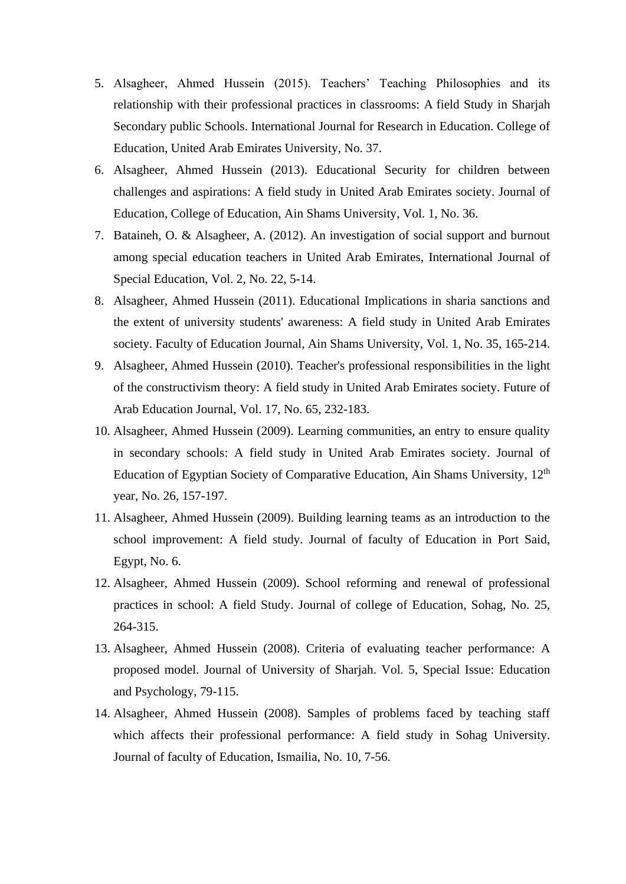- 5. Alsagheer, Ahmed Hussein (2015). Teachers' Teaching Philosophies and its relationship with their professional practices in classrooms: A field Study in Sharjah Secondary public Schools. International Journal for Research in Education. College of Education, United Arab Emirates University, No. 37.
- 6. Alsagheer, Ahmed Hussein (2013). Educational Security for children between challenges and aspirations: A field study in United Arab Emirates society. Journal of Education, College of Education, Ain Shams University, Vol. 1, No. 36.
- 7. Bataineh, O. & Alsagheer, A. (2012). An investigation of social support and burnout among special education teachers in United Arab Emirates, International Journal of Special Education, Vol. 2, No. 22, 5-14.
- 8. Alsagheer, Ahmed Hussein (2011). Educational Implications in sharia sanctions and the extent of university students' awareness: A field study in United Arab Emirates society. Faculty of Education Journal, Ain Shams University, Vol. 1, No. 35, 165-214.
- 9. Alsagheer, Ahmed Hussein (2010). Teacher's professional responsibilities in the light of the constructivism theory: A field study in United Arab Emirates society. Future of Arab Education Journal, Vol. 17, No. 65, 232-183.
- 10. Alsagheer, Ahmed Hussein (2009). Learning communities, an entry to ensure quality in secondary schools: A field study in United Arab Emirates society. Journal of Education of Egyptian Society of Comparative Education, Ain Shams University, 12<sup>th</sup> year, No. 26, 157-197.
- 11. Alsagheer, Ahmed Hussein (2009). Building learning teams as an introduction to the school improvement: A field study. Journal of faculty of Education in Port Said, Egypt, No. 6.
- 12. Alsagheer, Ahmed Hussein (2009). School reforming and renewal of professional practices in school: A field Study. Journal of college of Education, Sohag, No. 25, 264-315.
- 13. Alsagheer, Ahmed Hussein (2008). Criteria of evaluating teacher performance: A proposed model. Journal of University of Sharjah. Vol. 5, Special Issue: Education and Psychology, 79-115.
- 14. Alsagheer, Ahmed Hussein (2008). Samples of problems faced by teaching staff which affects their professional performance: A field study in Sohag University. Journal of faculty of Education, Ismailia, No. 10, 7-56.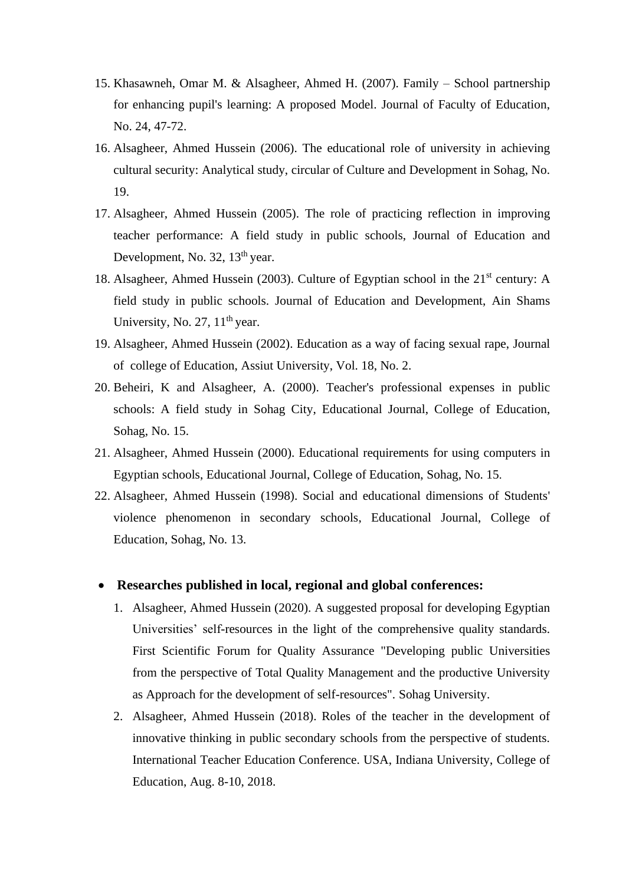- 15. Khasawneh, Omar M. & Alsagheer, Ahmed H. (2007). Family School partnership for enhancing pupil's learning: A proposed Model. Journal of Faculty of Education, No. 24, 47-72.
- 16. Alsagheer, Ahmed Hussein (2006). The educational role of university in achieving cultural security: Analytical study, circular of Culture and Development in Sohag, No. 19.
- 17. Alsagheer, Ahmed Hussein (2005). The role of practicing reflection in improving teacher performance: A field study in public schools, Journal of Education and Development, No. 32, 13<sup>th</sup> year.
- 18. Alsagheer, Ahmed Hussein (2003). Culture of Egyptian school in the  $21<sup>st</sup>$  century: A field study in public schools. Journal of Education and Development, Ain Shams University, No. 27,  $11<sup>th</sup>$  year.
- 19. Alsagheer, Ahmed Hussein (2002). Education as a way of facing sexual rape, Journal of college of Education, Assiut University, Vol. 18, No. 2.
- 20. Beheiri, K and Alsagheer, A. (2000). Teacher's professional expenses in public schools: A field study in Sohag City, Educational Journal, College of Education, Sohag, No. 15.
- 21. Alsagheer, Ahmed Hussein (2000). Educational requirements for using computers in Egyptian schools, Educational Journal, College of Education, Sohag, No. 15.
- 22. Alsagheer, Ahmed Hussein (1998). Social and educational dimensions of Students' violence phenomenon in secondary schools, Educational Journal, College of Education, Sohag, No. 13.

#### • **Researches published in local, regional and global conferences:**

- 1. Alsagheer, Ahmed Hussein (2020). A suggested proposal for developing Egyptian Universities' self-resources in the light of the comprehensive quality standards. First Scientific Forum for Quality Assurance "Developing public Universities from the perspective of Total Quality Management and the productive University as Approach for the development of self-resources". Sohag University.
- 2. Alsagheer, Ahmed Hussein (2018). Roles of the teacher in the development of innovative thinking in public secondary schools from the perspective of students. International Teacher Education Conference. USA, Indiana University, College of Education, Aug. 8-10, 2018.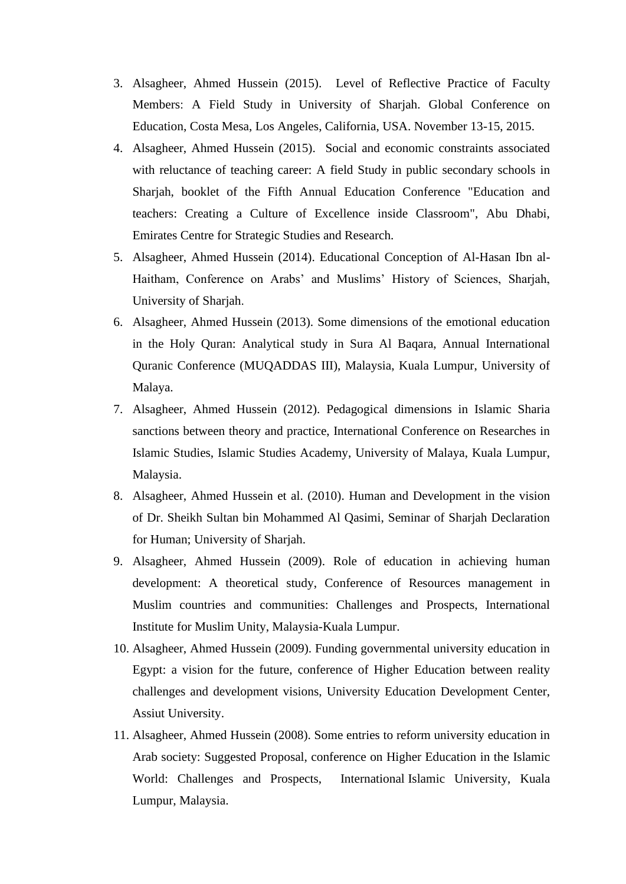- 3. Alsagheer, Ahmed Hussein (2015). Level of Reflective Practice of Faculty Members: A Field Study in University of Sharjah. Global Conference on Education, Costa Mesa, Los Angeles, California, USA. November 13-15, 2015.
- 4. Alsagheer, Ahmed Hussein (2015). Social and economic constraints associated with reluctance of teaching career: A field Study in public secondary schools in Sharjah, booklet of the Fifth Annual Education Conference "Education and teachers: Creating a Culture of Excellence inside Classroom", Abu Dhabi, Emirates Centre for Strategic Studies and Research.
- 5. Alsagheer, Ahmed Hussein (2014). Educational Conception of Al-Hasan Ibn al-Haitham, Conference on Arabs' and Muslims' History of Sciences, Sharjah, University of Sharjah.
- 6. Alsagheer, Ahmed Hussein (2013). Some dimensions of the emotional education in the Holy Quran: Analytical study in Sura Al Baqara, Annual International Quranic Conference (MUQADDAS III), Malaysia, Kuala Lumpur, University of Malaya.
- 7. Alsagheer, Ahmed Hussein (2012). Pedagogical dimensions in Islamic Sharia sanctions between theory and practice, International Conference on Researches in Islamic Studies, Islamic Studies Academy, University of Malaya, Kuala Lumpur, Malaysia.
- 8. Alsagheer, Ahmed Hussein et al. (2010). Human and Development in the vision of Dr. Sheikh Sultan bin Mohammed Al Qasimi, Seminar of Sharjah Declaration for Human; University of Sharjah.
- 9. Alsagheer, Ahmed Hussein (2009). Role of education in achieving human development: A theoretical study, Conference of Resources management in Muslim countries and communities: Challenges and Prospects, International Institute for Muslim Unity, Malaysia-Kuala Lumpur.
- 10. Alsagheer, Ahmed Hussein (2009). Funding governmental university education in Egypt: a vision for the future, conference of Higher Education between reality challenges and development visions, University Education Development Center, Assiut University.
- 11. Alsagheer, Ahmed Hussein (2008). Some entries to reform university education in Arab society: Suggested Proposal, conference on Higher Education in the Islamic World: Challenges and Prospects, International Islamic University, Kuala Lumpur, Malaysia.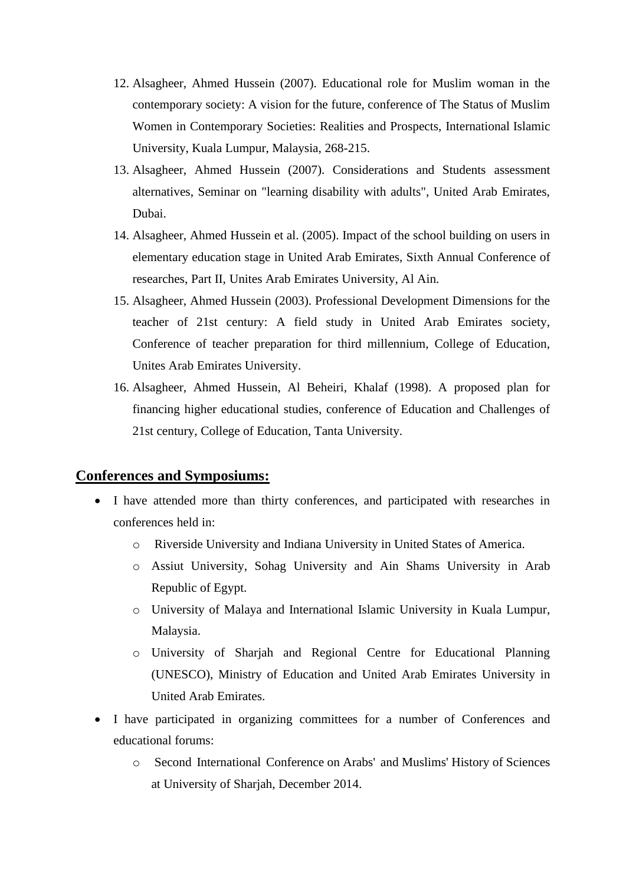- 12. Alsagheer, Ahmed Hussein (2007). Educational role for Muslim woman in the contemporary society: A vision for the future, conference of The Status of Muslim Women in Contemporary Societies: Realities and Prospects, International Islamic University, Kuala Lumpur, Malaysia, 268-215.
- 13. Alsagheer, Ahmed Hussein (2007). Considerations and Students assessment alternatives, Seminar on "learning disability with adults", United Arab Emirates, Dubai.
- 14. Alsagheer, Ahmed Hussein et al. (2005). Impact of the school building on users in elementary education stage in United Arab Emirates, Sixth Annual Conference of researches, Part II, Unites Arab Emirates University, Al Ain.
- 15. Alsagheer, Ahmed Hussein (2003). Professional Development Dimensions for the teacher of 21st century: A field study in United Arab Emirates society, Conference of teacher preparation for third millennium, College of Education, Unites Arab Emirates University.
- 16. Alsagheer, Ahmed Hussein, Al Beheiri, Khalaf (1998). A proposed plan for financing higher educational studies, conference of Education and Challenges of 21st century, College of Education, Tanta University.

#### **Conferences and Symposiums:**

- I have attended more than thirty conferences, and participated with researches in conferences held in:
	- o Riverside University and Indiana University in United States of America.
	- o Assiut University, Sohag University and Ain Shams University in Arab Republic of Egypt.
	- o University of Malaya and International Islamic University in Kuala Lumpur, Malaysia.
	- o University of Sharjah and Regional Centre for Educational Planning (UNESCO), Ministry of Education and United Arab Emirates University in United Arab Emirates.
- I have participated in organizing committees for a number of Conferences and educational forums:
	- o Second International Conference on Arabs' and Muslims' History of Sciences at University of Sharjah, December 2014.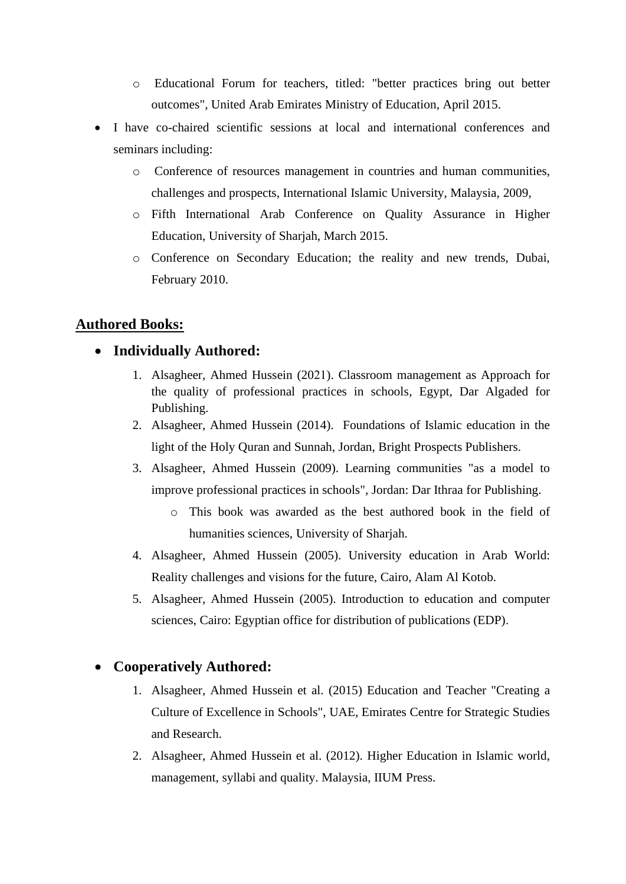- o Educational Forum for teachers, titled: "better practices bring out better outcomes", United Arab Emirates Ministry of Education, April 2015.
- I have co-chaired scientific sessions at local and international conferences and seminars including:
	- o Conference of resources management in countries and human communities, challenges and prospects, International Islamic University, Malaysia, 2009,
	- o Fifth International Arab Conference on Quality Assurance in Higher Education, University of Sharjah, March 2015.
	- o Conference on Secondary Education; the reality and new trends, Dubai, February 2010.

### **Authored Books:**

### • **Individually Authored:**

- 1. Alsagheer, Ahmed Hussein (2021). Classroom management as Approach for the quality of professional practices in schools, Egypt, Dar Algaded for Publishing.
- 2. Alsagheer, Ahmed Hussein (2014). Foundations of Islamic education in the light of the Holy Quran and Sunnah, Jordan, Bright Prospects Publishers.
- 3. Alsagheer, Ahmed Hussein (2009). Learning communities "as a model to improve professional practices in schools", Jordan: Dar Ithraa for Publishing.
	- o This book was awarded as the best authored book in the field of humanities sciences, University of Sharjah.
- 4. Alsagheer, Ahmed Hussein (2005). University education in Arab World: Reality challenges and visions for the future, Cairo, Alam Al Kotob.
- 5. Alsagheer, Ahmed Hussein (2005). Introduction to education and computer sciences, Cairo: Egyptian office for distribution of publications (EDP).

# • **Cooperatively Authored:**

- 1. Alsagheer, Ahmed Hussein et al. (2015) Education and Teacher "Creating a Culture of Excellence in Schools", UAE, Emirates Centre for Strategic Studies and Research.
- 2. Alsagheer, Ahmed Hussein et al. (2012). Higher Education in Islamic world, management, syllabi and quality. Malaysia, IIUM Press.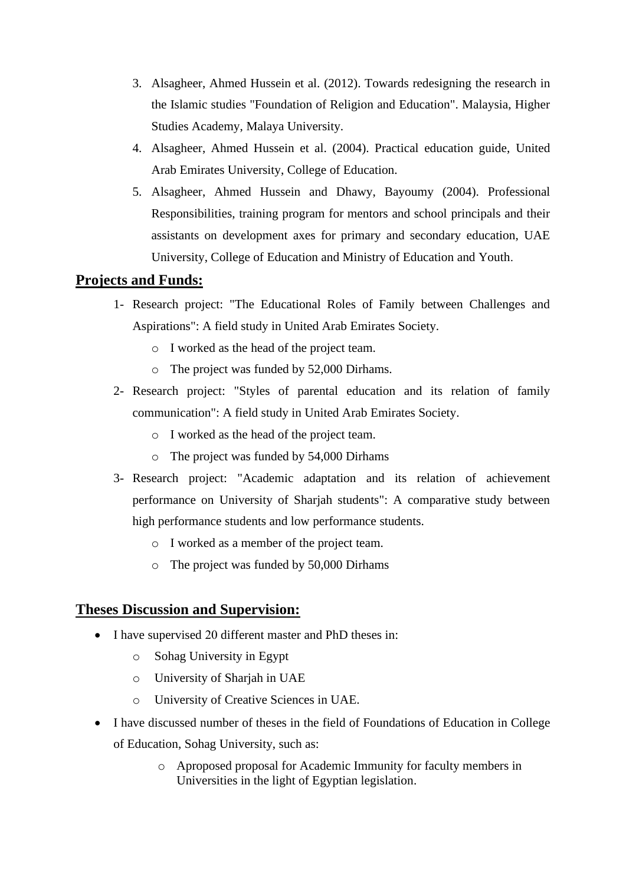- 3. Alsagheer, Ahmed Hussein et al. (2012). Towards redesigning the research in the Islamic studies "Foundation of Religion and Education". Malaysia, Higher Studies Academy, Malaya University.
- 4. Alsagheer, Ahmed Hussein et al. (2004). Practical education guide, United Arab Emirates University, College of Education.
- 5. Alsagheer, Ahmed Hussein and Dhawy, Bayoumy (2004). Professional Responsibilities, training program for mentors and school principals and their assistants on development axes for primary and secondary education, UAE University, College of Education and Ministry of Education and Youth.

# **Projects and Funds:**

- 1- Research project: "The Educational Roles of Family between Challenges and Aspirations": A field study in United Arab Emirates Society.
	- o I worked as the head of the project team.
	- o The project was funded by 52,000 Dirhams.
- 2- Research project: "Styles of parental education and its relation of family communication": A field study in United Arab Emirates Society.
	- o I worked as the head of the project team.
	- o The project was funded by 54,000 Dirhams
- 3- Research project: "Academic adaptation and its relation of achievement performance on University of Sharjah students": A comparative study between high performance students and low performance students.
	- o I worked as a member of the project team.
	- o The project was funded by 50,000 Dirhams

#### **Theses Discussion and Supervision:**

- I have supervised 20 different master and PhD theses in:
	- o Sohag University in Egypt
	- o University of Sharjah in UAE
	- o University of Creative Sciences in UAE.
- I have discussed number of theses in the field of Foundations of Education in College of Education, Sohag University, such as:
	- o Aproposed proposal for Academic Immunity for faculty members in Universities in the light of Egyptian legislation.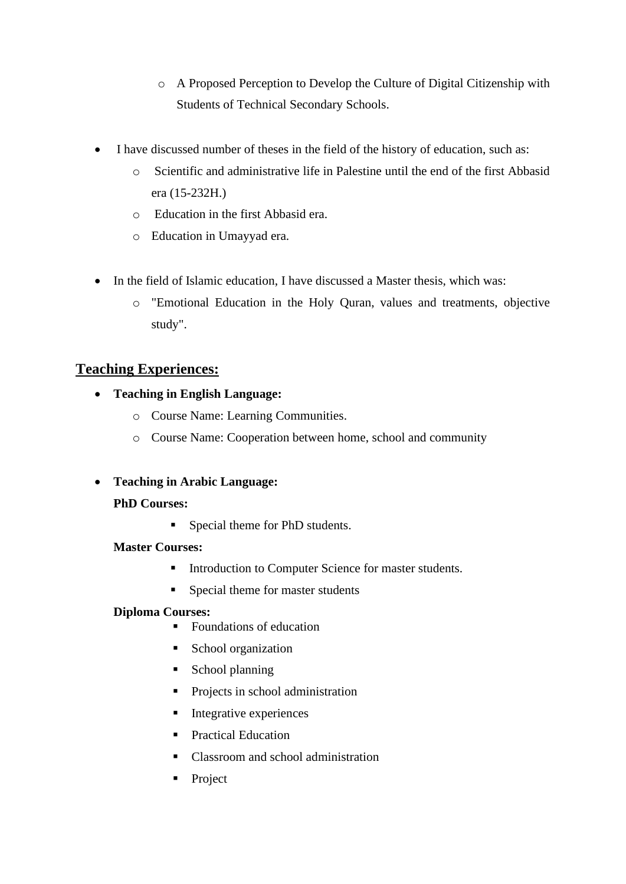- o A Proposed Perception to Develop the Culture of Digital Citizenship with Students of Technical Secondary Schools.
- I have discussed number of theses in the field of the history of education, such as:
	- o Scientific and administrative life in Palestine until the end of the first Abbasid era (15-232H.)
	- o Education in the first Abbasid era.
	- o Education in Umayyad era.
- In the field of Islamic education, I have discussed a Master thesis, which was:
	- o "Emotional Education in the Holy Quran, values and treatments, objective study".

# **Teaching Experiences:**

- **Teaching in English Language:** 
	- o Course Name: Learning Communities.
	- o Course Name: Cooperation between home, school and community
- **Teaching in Arabic Language:**

#### **PhD Courses:**

■ Special theme for PhD students.

#### **Master Courses:**

- **■** Introduction to Computer Science for master students.
- Special theme for master students

#### **Diploma Courses:**

- Foundations of education
- School organization
- School planning
- Projects in school administration
- Integrative experiences
- Practical Education
- Classroom and school administration
- Project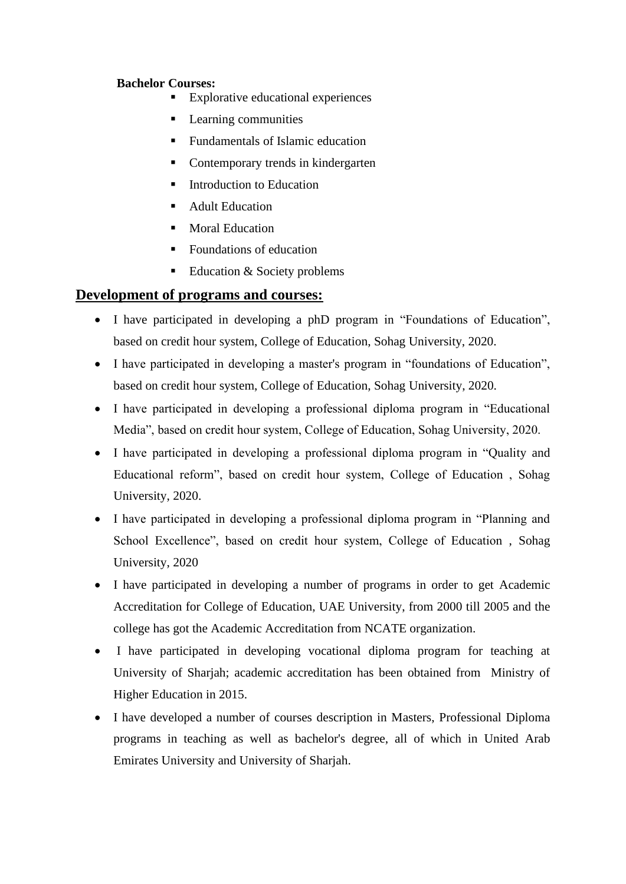#### **Bachelor Courses:**

- **Explorative educational experiences**
- Learning communities
- Fundamentals of Islamic education
- Contemporary trends in kindergarten
- Introduction to Education
- **Adult Education**
- **Moral Education**
- Foundations of education
- Education & Society problems

#### **Development of programs and courses:**

- I have participated in developing a phD program in "Foundations of Education", based on credit hour system, College of Education, Sohag University, 2020.
- I have participated in developing a master's program in "foundations of Education", based on credit hour system, College of Education, Sohag University, 2020.
- I have participated in developing a professional diploma program in "Educational Media", based on credit hour system, College of Education, Sohag University, 2020.
- I have participated in developing a professional diploma program in "Quality and Educational reform", based on credit hour system, College of Education , Sohag University, 2020.
- I have participated in developing a professional diploma program in "Planning and School Excellence", based on credit hour system, College of Education , Sohag University, 2020
- I have participated in developing a number of programs in order to get Academic Accreditation for College of Education, UAE University, from 2000 till 2005 and the college has got the Academic Accreditation from NCATE organization.
- I have participated in developing vocational diploma program for teaching at University of Sharjah; academic accreditation has been obtained from Ministry of Higher Education in 2015.
- I have developed a number of courses description in Masters, Professional Diploma programs in teaching as well as bachelor's degree, all of which in United Arab Emirates University and University of Sharjah.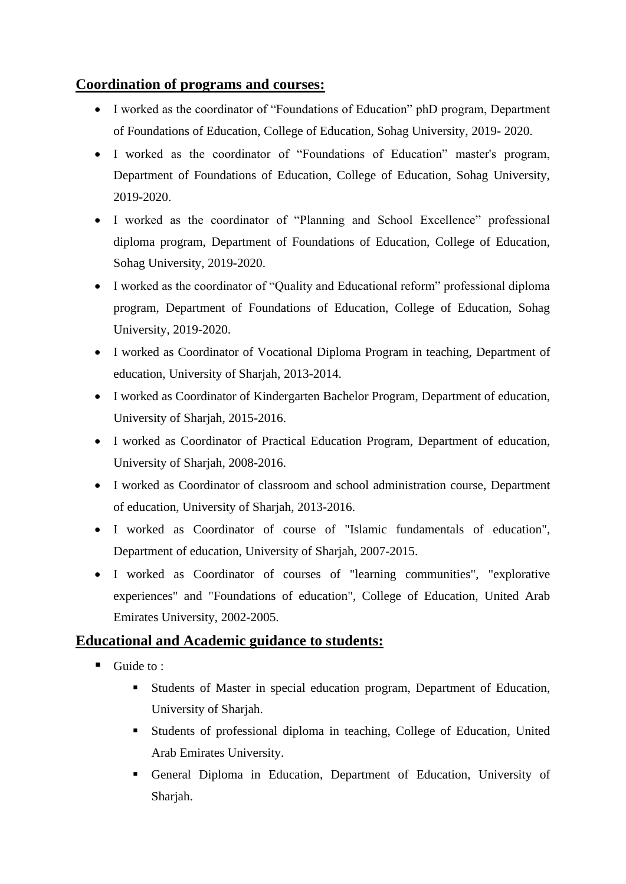# **Coordination of programs and courses:**

- I worked as the coordinator of "Foundations of Education" phD program, Department of Foundations of Education, College of Education, Sohag University, 2019- 2020.
- I worked as the coordinator of "Foundations of Education" master's program, Department of Foundations of Education, College of Education, Sohag University, 2019-2020.
- I worked as the coordinator of "Planning and School Excellence" professional diploma program, Department of Foundations of Education, College of Education, Sohag University, 2019-2020.
- I worked as the coordinator of "Quality and Educational reform" professional diploma program, Department of Foundations of Education, College of Education, Sohag University, 2019-2020.
- I worked as Coordinator of Vocational Diploma Program in teaching, Department of education, University of Sharjah, 2013-2014.
- I worked as Coordinator of Kindergarten Bachelor Program, Department of education, University of Sharjah, 2015-2016.
- I worked as Coordinator of Practical Education Program, Department of education, University of Sharjah, 2008-2016.
- I worked as Coordinator of classroom and school administration course, Department of education, University of Sharjah, 2013-2016.
- I worked as Coordinator of course of "Islamic fundamentals of education", Department of education, University of Sharjah, 2007-2015.
- I worked as Coordinator of courses of "learning communities", "explorative experiences" and "Foundations of education", College of Education, United Arab Emirates University, 2002-2005.

#### **Educational and Academic guidance to students:**

- $\blacksquare$  Guide to :
	- Students of Master in special education program, Department of Education, University of Sharjah.
	- Students of professional diploma in teaching, College of Education, United Arab Emirates University.
	- General Diploma in Education, Department of Education, University of Sharjah.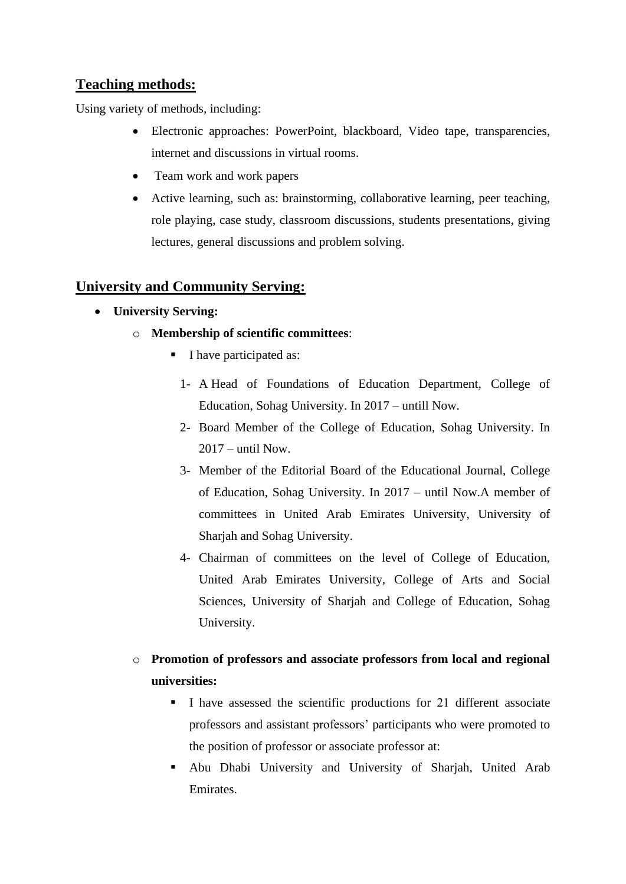# **Teaching methods:**

Using variety of methods, including:

- Electronic approaches: PowerPoint, blackboard, Video tape, transparencies, internet and discussions in virtual rooms.
- Team work and work papers
- Active learning, such as: brainstorming, collaborative learning, peer teaching, role playing, case study, classroom discussions, students presentations, giving lectures, general discussions and problem solving.

### **University and Community Serving:**

- **University Serving:**
	- o **Membership of scientific committees**:
		- I have participated as:
			- 1- A Head of Foundations of Education Department, College of Education, Sohag University. In 2017 – untill Now.
			- 2- Board Member of the College of Education, Sohag University. In 2017 – until Now.
			- 3- Member of the Editorial Board of the Educational Journal, College of Education, Sohag University. In 2017 – until Now.A member of committees in United Arab Emirates University, University of Sharjah and Sohag University.
			- 4- Chairman of committees on the level of College of Education, United Arab Emirates University, College of Arts and Social Sciences, University of Sharjah and College of Education, Sohag University.
	- o **Promotion of professors and associate professors from local and regional universities:** 
		- I have assessed the scientific productions for 21 different associate professors and assistant professors' participants who were promoted to the position of professor or associate professor at:
		- Abu Dhabi University and University of Sharjah, United Arab Emirates.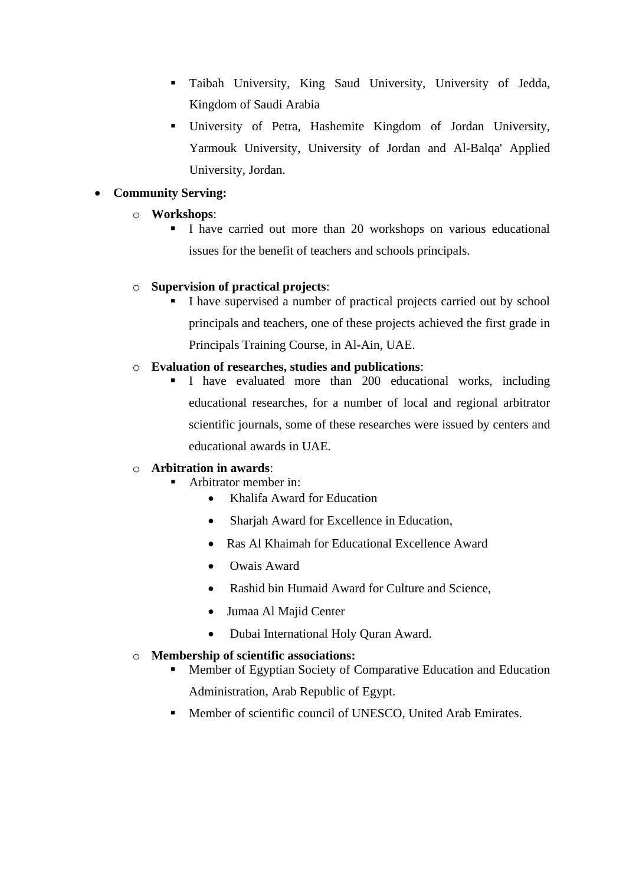- Taibah University, King Saud University, University of Jedda, Kingdom of Saudi Arabia
- University of Petra, Hashemite Kingdom of Jordan University, Yarmouk University, University of Jordan and Al-Balqa' Applied University, Jordan.

#### • **Community Serving:**

#### o **Workshops**:

**I** I have carried out more than 20 workshops on various educational issues for the benefit of teachers and schools principals.

#### o **Supervision of practical projects**:

▪ I have supervised a number of practical projects carried out by school principals and teachers, one of these projects achieved the first grade in Principals Training Course, in Al-Ain, UAE.

#### o **Evaluation of researches, studies and publications**:

▪ I have evaluated more than 200 educational works, including educational researches, for a number of local and regional arbitrator scientific journals, some of these researches were issued by centers and educational awards in UAE.

#### o **Arbitration in awards**:

- Arbitrator member in:
	- Khalifa Award for Education
	- Sharjah Award for Excellence in Education,
	- Ras Al Khaimah for Educational Excellence Award
	- Owais Award
	- Rashid bin Humaid Award for Culture and Science,
	- Jumaa Al Majid Center
	- Dubai International Holy Quran Award.

#### o **Membership of scientific associations:**

- Member of Egyptian Society of Comparative Education and Education Administration, Arab Republic of Egypt.
- Member of scientific council of UNESCO, United Arab Emirates.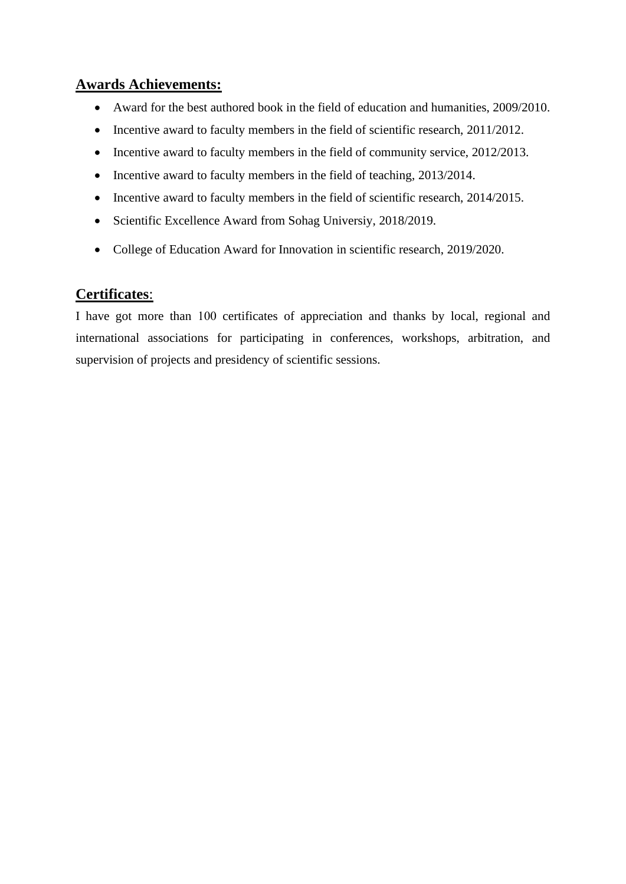#### **Awards Achievements:**

- Award for the best authored book in the field of education and humanities, 2009/2010.
- Incentive award to faculty members in the field of scientific research, 2011/2012.
- Incentive award to faculty members in the field of community service, 2012/2013.
- Incentive award to faculty members in the field of teaching, 2013/2014.
- Incentive award to faculty members in the field of scientific research, 2014/2015.
- Scientific Excellence Award from Sohag Universiy, 2018/2019.
- College of Education Award for Innovation in scientific research, 2019/2020.

### **Certificates**:

I have got more than 100 certificates of appreciation and thanks by local, regional and international associations for participating in conferences, workshops, arbitration, and supervision of projects and presidency of scientific sessions.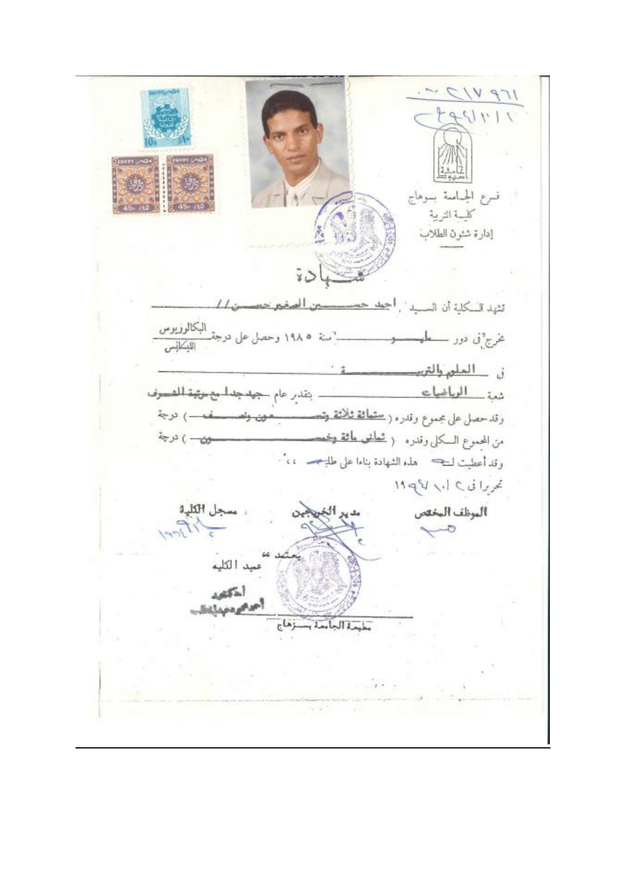$IPV/2$  $1.1129$ نسرع الجباسة بموهاج كالسة التربية إدارة شئون الطلاب Ϋù تثهد السكلية أن السبيد". أجعد حسيسستين المغبرحس  $11.$ سنة ١٩٨٥ وحصل على درجة البكالو<u>زيوس</u><br>سنة ١٩٨٥ وحصل على درجة غرج°نی دور ــــــعلم في العلم والتربيد شد \_\_ الوياضات . بنقدر عام جهدجدا مع ميثبة المصوف وقدحصل على مجموع وقدره ( <u>ستمائة ثلاثة وتمس</u> –) نرجة سمون ونص من المجموع السكلي وقدره ﴿ <del>شَطَنَتِي مَائَةً وَجَم</del>د  $\omega$  )  $\omega$ وقد أعطيت لـــج = هذه الشهادة بناءا على طل<del>بــجــ</del> = ، ، "· تحریرا نی ۱ با ۱۹ کام ألموظف المخص جل الكلية  $\overline{c}$ صيد الكليه أخكفه  $1 - 111$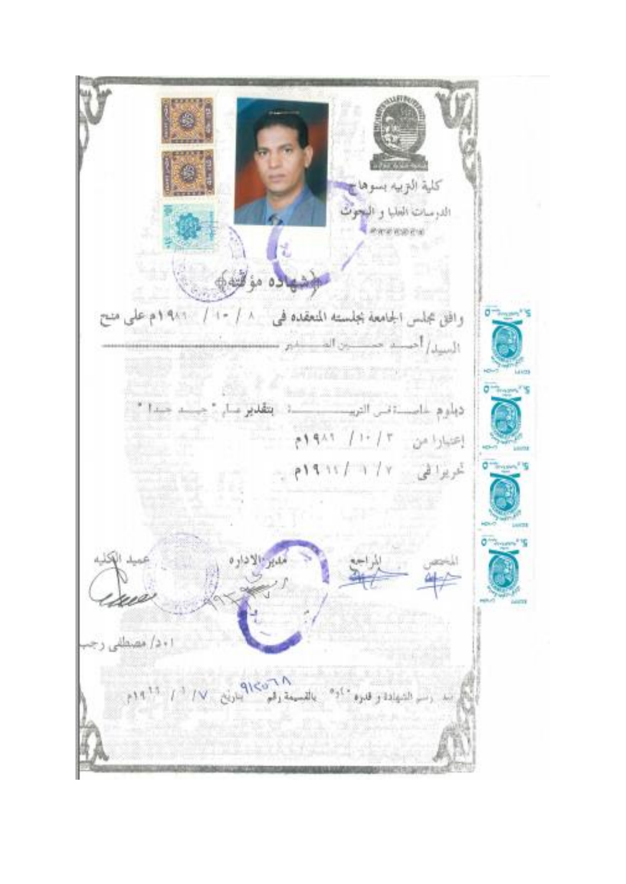كلية التزبيه بسو الدرسات العلبا و البحوث enventa يول (ال<br>مولدهالاه مؤافيتي وافق مجلس الجامعة بجلسته المتعقده في ١٠/ ١٠/ ١٠١/ ١٩٨٩م على منح السيد الحسنة حسنتين المست na provincia e con ديلوم عاصىة قس التربيب إعدادا من ١٠/٣ ١٩٨٩م تمریزا فی ۱۲/۲/۱۱/۱۹ ا د د/ مصطل  $\|e\|A^{\frac{1}{2}}\|f\|^{\frac{1}{2}}\|f\vee\|g\|_{L^{\infty}(\mathbb{R}^2)}\|f\|_{L^{\infty}(\mathbb{R}^2)}\leq \|\mathcal{A}\|_{L^{\infty}(\mathbb{R}^2)}\|f\|_{L^{\infty}(\mathbb{R}^2)}\|f\|_{L^{\infty}(\mathbb{R}^2)}$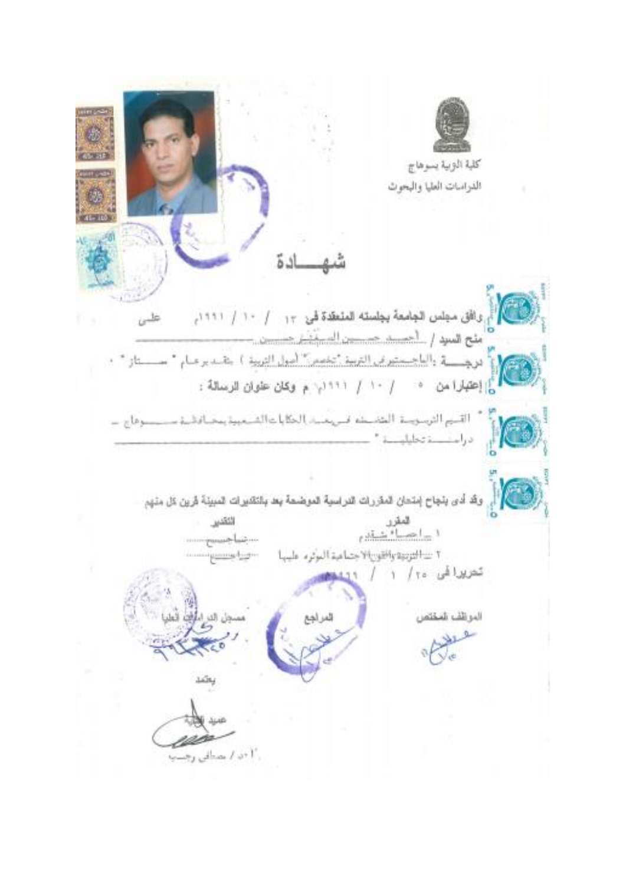كلبة الوبية يسوهاج الدراسات العليا والبحوث اد ة رى الآتى مجلس الجامعة يجلسنه المنعقدة قى ١٢ / ١٠١ / ١٢١١م  $\omega^{\frac{1}{10}}$ منح هسج را الحسد حسين السنقة مسيب ة<br>و|إع*تيار*امن • / ١٠ / ١٢٢١م: م وكان علوان الرسالة : ". [[قسيم [لترسويسة: [لمتخـــــــنم فــــريـعــــد] الخكايا عــالشـــعيية يمحـــافـالــــذ ســــــــ سنوفاج ، دراست تخليليسة " وقد أدى يتجاح إمتحان المقررات التراسية الموضحة بعد بالتقديرات المبينة قرين كل منهم هغر<br>۱ <u>–احسا<sup>ء</sup> شق</u>ير اثتقس ٢ سالتوبيه واقتوريالا جماعية الموثره عليبها تعریرا فی ۲۰ / ۱ الموائف المختص المراجع .<br>۱ +ن / مصنافی رجست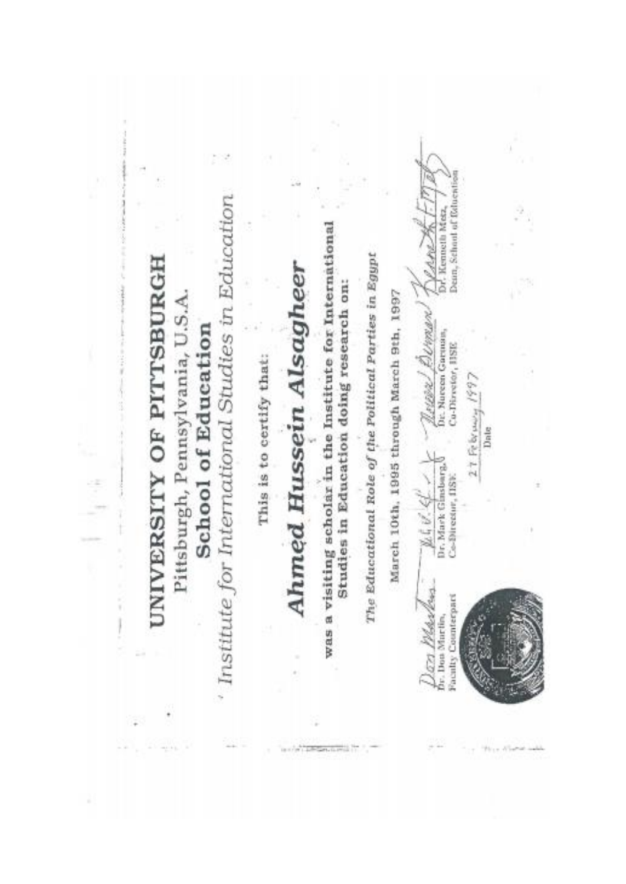Dean, School of folocation ' Institute for International Studies in Education Dr. Kenneth Metz, was a visiting scholar in the Institute for International VAM The Educational Role of the Political Parties in Egypt UNIVERSITY OF PITTSBURGH **Ahmed Hussein Alsagheer** Studies in Education doing research on: Pittsburgh, Pennsylvania, U.S.A. March 10th, 1995 through March 9th, 1997 <u>Neiton / Deiman</u><br>De Nueen Garuna, School of Education Co-Director, IISE This is to certify that:  $27$  February 1997 Date ほどみノーー Dr. Mark Ginsbarg, Co-Birectur, IISE Jan Marley **Faculty Counterpart** Dr. Don Martin,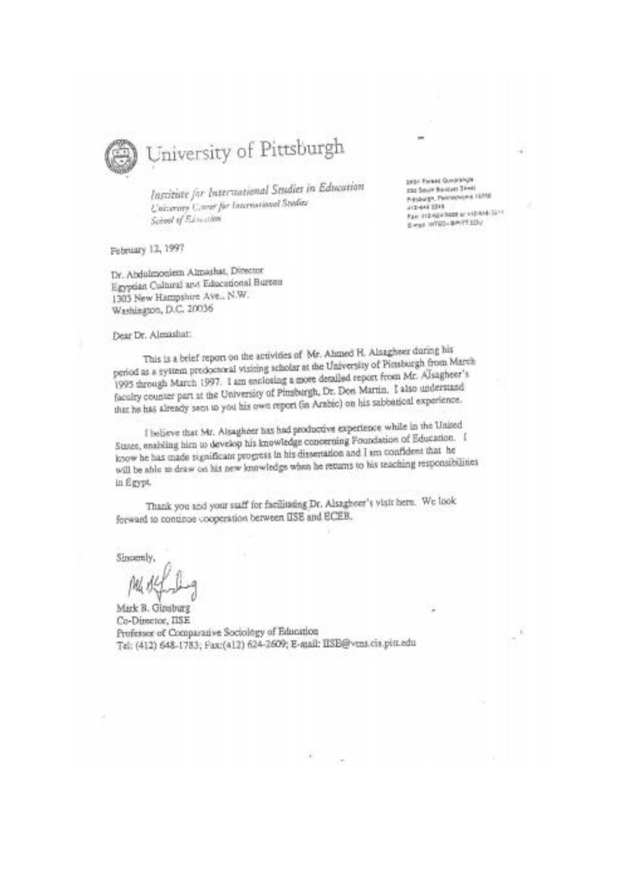

# University of Pittsburgh

Institute for International Studies in Education University Cover for International Studies School of Financien

February 12, 1997

Dr. Abdulmoniem Almashat, Director Egyptian Cultural and Educational Bureau 1303 New Hampshire Ave., N.W. Washington, D.C. 20036

Dear Dr. Alexashatt

This is a brief report on the activities of Mr. Ahmed H. Alsagheer during his period as a system predoctoral visiting scholar at the University of Pienburgh from March 1995 through March 1997. I am enclosing a more detailed report from Mr. Alsagheer's faculty counter part at the University of Pinsburgh, Dr. Don Martin. I also understand that he has already sent to you his own report (in Arabic) on his sabbatical experience.

I helieve that Mr. Alsagheer has had productive experience while in the United Suses, enabling him to develop his knowledge concerning Foundation of Education. I know he has made sugnificant progress in his dissertation and I am confident that he will be able to draw on his new knowledge when he returns to his teaching responsibilities in Egypt.

Thank you and your suff for facilitating Dr. Alsagheer's visit here. We look forward to continue cooperation between IISE and ECEB.

Sincerely

Mark B. Ginsburg Co-Director, IISE Professor of Comparative Sociology of Education Tel: (412) 648-1783; Pax:(412) 624-2609; E-mail: IISB@vms.cis.pitt.edu

**SASA Forest QuearAnger** 232 South Bencues Street Presburgh, Pannsynamis 16358 412-642 2249 Fax: (12-504-5600 at x12-614-12-1) E-mail: WT60+8P/TT320/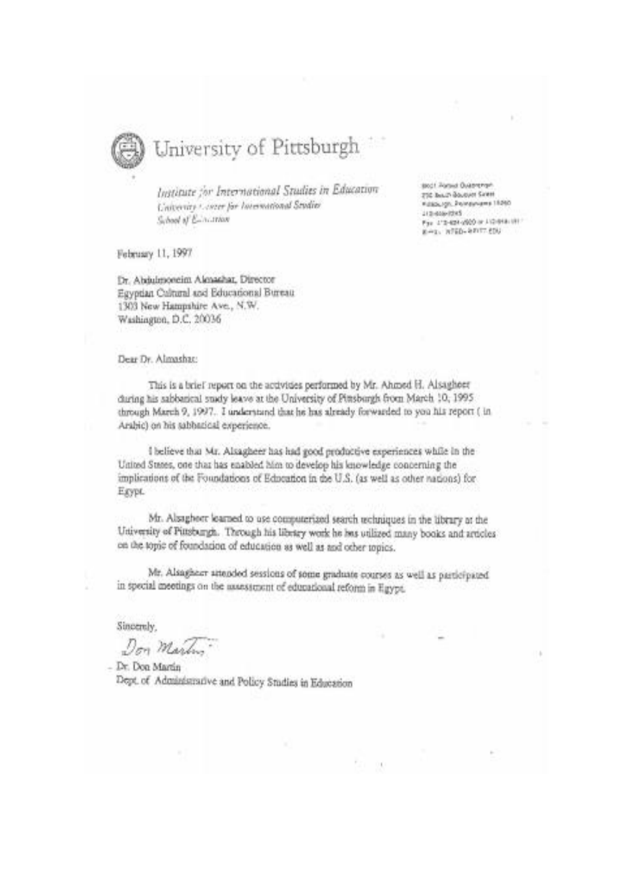

# University of Pittsburgh

Institute for International Studies in Education University Corner for International Studies School of Education

February 11, 1997

Dr. Abdulmoneim Almashar, Director Egyptian Cultural and Educational Bureau 1303 New Hampshire Ave., N.W. Washington, D.C. 20036

Dear Dr. Almashac

This is a brief report on the accivities performed by Mr. Ahmed H. Alsagheer during his sabbanical study leave at the University of Pittsburgh from March 10, 1995. through March 9, 1997. I understand that he has already forwarded to you his report (in Arabic) on his sabbatical experience.

I believe that Mr. Alsagheer has had good productive experiences while in the United States, one that has enabled him to develop his knowledge concerning the implications of the Foundations of Education in the U.S. (as well as other nations) for Exypt.

Mr. Alsaghorr learned to use computerized search rechniques in the library at the University of Pinsburgh. Through his library work he less utilized many books and articles on the topic of foundation of education as well as and other topics.

Mr. Alsagheer attended sessions of some graduate courses as well as participated in special meetings on the assessment of educational reform in Egypt.

Sincerely.

Don Martin

- Dr. Don Martin Dept. of Administrative and Policy Studies in Education Boot Asquis Buserenger 210 Boxery Bouquet Saless Kalasugn, Pompyrams 18590 Littlessaches For 1'2-824-2020 or J (2-948-1911) E-ta, WHO SERVICES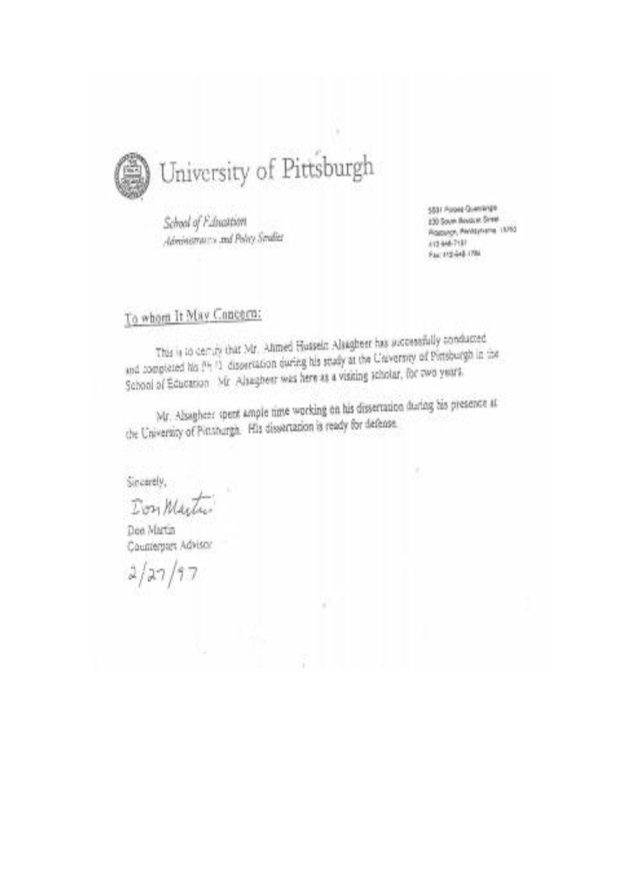

School of Faluation Administrators and Policy Sendice

5881 Poloist Quantitype 130 Source Books at Street Picaconce, Pentsylvania, 19763 41244-7181 Fac10244-096

# To whom It May Concern:

This is to demity that Mr. Ahmed Husseln Alsagheer has aucosssfully conducted and completed his (14.13) dissertation during his study at the Chaversity of Pittsburgh in the School of Education Mr. Alsaghest was here as a visiting scholar, for two years.

Mr. Alsagher: spent ample time working on his dissertation during his presence at the University of Pittshurgh. His dissertation is ready for defense.

Sincerely,

Don Martin

Dee Martin Counterport Advisor

 $2/27/97$